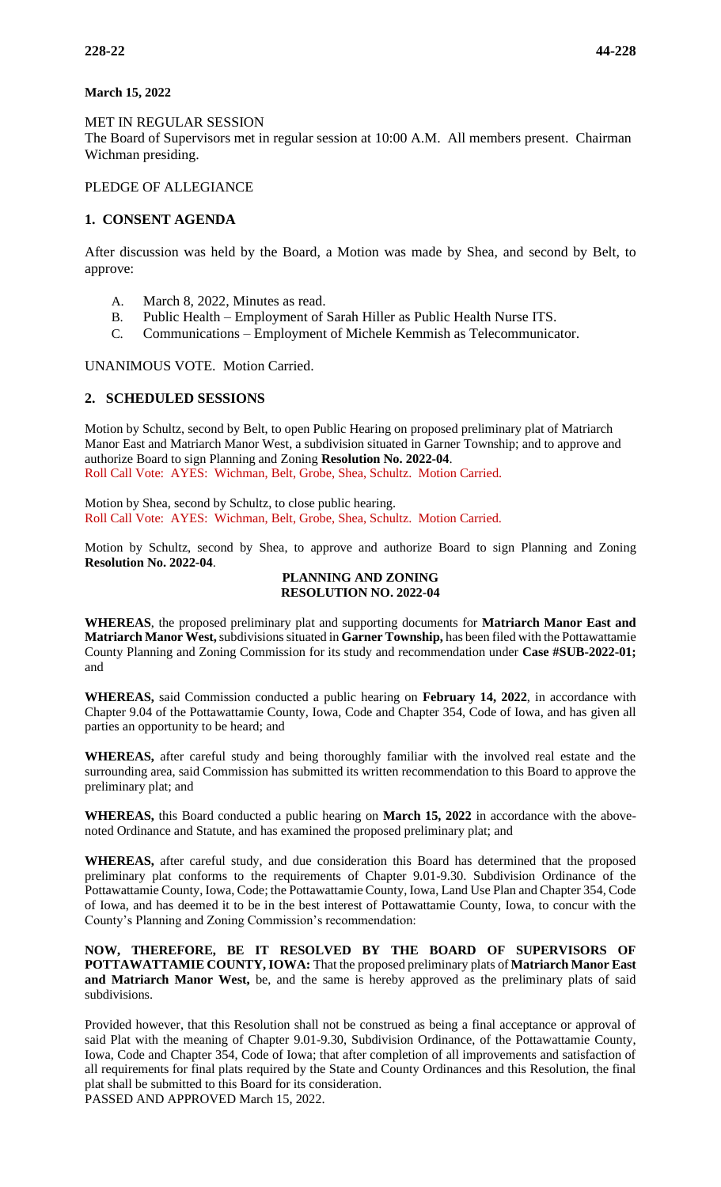### **March 15, 2022**

MET IN REGULAR SESSION The Board of Supervisors met in regular session at 10:00 A.M. All members present. Chairman Wichman presiding.

## PLEDGE OF ALLEGIANCE

## **1. CONSENT AGENDA**

After discussion was held by the Board, a Motion was made by Shea, and second by Belt, to approve:

- A. March 8, 2022, Minutes as read.
- B. Public Health Employment of Sarah Hiller as Public Health Nurse ITS.
- C. Communications Employment of Michele Kemmish as Telecommunicator.

UNANIMOUS VOTE. Motion Carried.

# **2. SCHEDULED SESSIONS**

Motion by Schultz, second by Belt, to open Public Hearing on proposed preliminary plat of Matriarch Manor East and Matriarch Manor West, a subdivision situated in Garner Township; and to approve and authorize Board to sign Planning and Zoning **Resolution No. 2022-04**. Roll Call Vote: AYES: Wichman, Belt, Grobe, Shea, Schultz. Motion Carried.

Motion by Shea, second by Schultz, to close public hearing. Roll Call Vote: AYES: Wichman, Belt, Grobe, Shea, Schultz. Motion Carried.

Motion by Schultz, second by Shea, to approve and authorize Board to sign Planning and Zoning **Resolution No. 2022-04**.

#### **PLANNING AND ZONING RESOLUTION NO. 2022-04**

**WHEREAS**, the proposed preliminary plat and supporting documents for **Matriarch Manor East and Matriarch Manor West,** subdivisions situated in **Garner Township,** has been filed with the Pottawattamie County Planning and Zoning Commission for its study and recommendation under **Case #SUB-2022-01;**  and

**WHEREAS,** said Commission conducted a public hearing on **February 14, 2022**, in accordance with Chapter 9.04 of the Pottawattamie County, Iowa, Code and Chapter 354, Code of Iowa, and has given all parties an opportunity to be heard; and

**WHEREAS,** after careful study and being thoroughly familiar with the involved real estate and the surrounding area, said Commission has submitted its written recommendation to this Board to approve the preliminary plat; and

**WHEREAS,** this Board conducted a public hearing on **March 15, 2022** in accordance with the abovenoted Ordinance and Statute, and has examined the proposed preliminary plat; and

**WHEREAS,** after careful study, and due consideration this Board has determined that the proposed preliminary plat conforms to the requirements of Chapter 9.01-9.30. Subdivision Ordinance of the Pottawattamie County, Iowa, Code; the Pottawattamie County, Iowa, Land Use Plan and Chapter 354, Code of Iowa, and has deemed it to be in the best interest of Pottawattamie County, Iowa, to concur with the County's Planning and Zoning Commission's recommendation:

**NOW, THEREFORE, BE IT RESOLVED BY THE BOARD OF SUPERVISORS OF POTTAWATTAMIE COUNTY, IOWA:** That the proposed preliminary plats of **Matriarch Manor East and Matriarch Manor West,** be, and the same is hereby approved as the preliminary plats of said subdivisions.

Provided however, that this Resolution shall not be construed as being a final acceptance or approval of said Plat with the meaning of Chapter 9.01-9.30, Subdivision Ordinance, of the Pottawattamie County, Iowa, Code and Chapter 354, Code of Iowa; that after completion of all improvements and satisfaction of all requirements for final plats required by the State and County Ordinances and this Resolution, the final plat shall be submitted to this Board for its consideration. PASSED AND APPROVED March 15, 2022.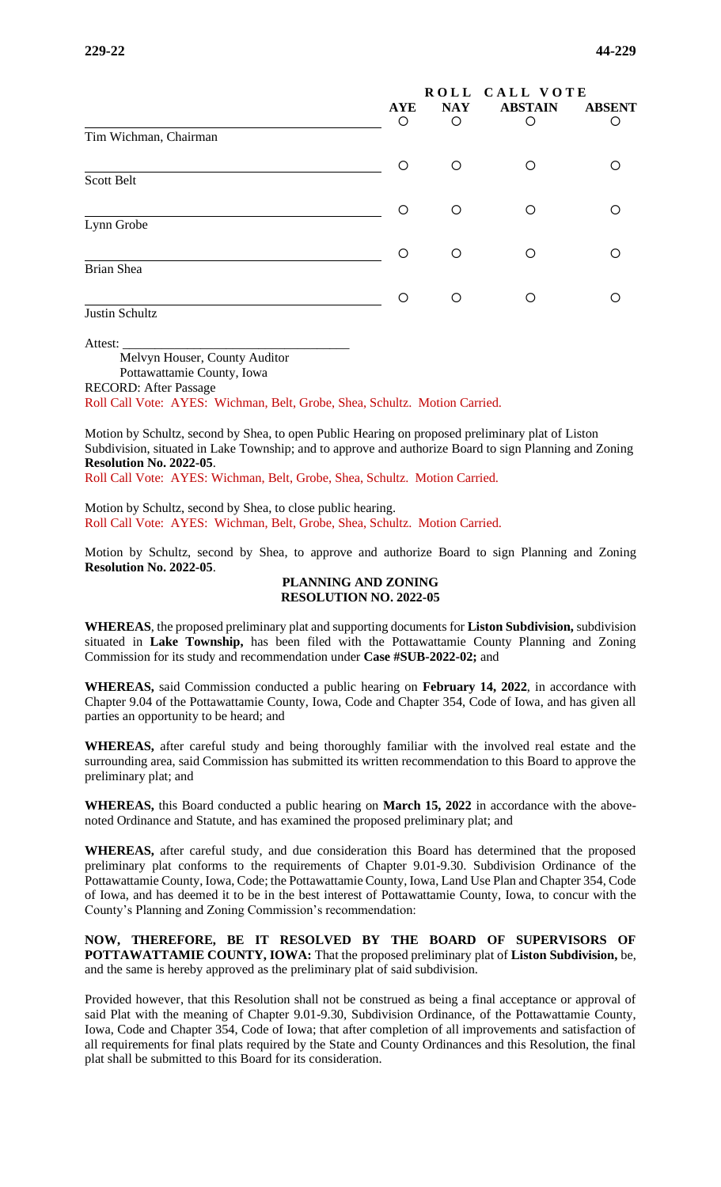|                       |            | ROLL CALL VOTE |                |               |  |
|-----------------------|------------|----------------|----------------|---------------|--|
|                       | <b>AYE</b> | <b>NAY</b>     | <b>ABSTAIN</b> | <b>ABSENT</b> |  |
|                       | O          | O              | O              | ∩             |  |
| Tim Wichman, Chairman |            |                |                |               |  |
|                       | O          | O              | O              |               |  |
| Scott Belt            |            |                |                |               |  |
|                       | ◯          | O              | O              |               |  |
| Lynn Grobe            |            |                |                |               |  |
|                       | ∩          | O              | O              |               |  |
| <b>Brian Shea</b>     |            |                |                |               |  |
|                       | ∩          | O              | Ω              |               |  |
| Justin Schultz        |            |                |                |               |  |

Attest:

Melvyn Houser, County Auditor Pottawattamie County, Iowa RECORD: After Passage

Roll Call Vote: AYES: Wichman, Belt, Grobe, Shea, Schultz. Motion Carried.

Motion by Schultz, second by Shea, to open Public Hearing on proposed preliminary plat of Liston Subdivision, situated in Lake Township; and to approve and authorize Board to sign Planning and Zoning **Resolution No. 2022-05**.

Roll Call Vote: AYES: Wichman, Belt, Grobe, Shea, Schultz. Motion Carried.

Motion by Schultz, second by Shea, to close public hearing. Roll Call Vote: AYES: Wichman, Belt, Grobe, Shea, Schultz. Motion Carried.

Motion by Schultz, second by Shea, to approve and authorize Board to sign Planning and Zoning **Resolution No. 2022-05**.

#### **PLANNING AND ZONING RESOLUTION NO. 2022-05**

**WHEREAS**, the proposed preliminary plat and supporting documents for **Liston Subdivision,** subdivision situated in **Lake Township,** has been filed with the Pottawattamie County Planning and Zoning Commission for its study and recommendation under **Case #SUB-2022-02;** and

**WHEREAS,** said Commission conducted a public hearing on **February 14, 2022**, in accordance with Chapter 9.04 of the Pottawattamie County, Iowa, Code and Chapter 354, Code of Iowa, and has given all parties an opportunity to be heard; and

**WHEREAS,** after careful study and being thoroughly familiar with the involved real estate and the surrounding area, said Commission has submitted its written recommendation to this Board to approve the preliminary plat; and

**WHEREAS,** this Board conducted a public hearing on **March 15, 2022** in accordance with the abovenoted Ordinance and Statute, and has examined the proposed preliminary plat; and

**WHEREAS,** after careful study, and due consideration this Board has determined that the proposed preliminary plat conforms to the requirements of Chapter 9.01-9.30. Subdivision Ordinance of the Pottawattamie County, Iowa, Code; the Pottawattamie County, Iowa, Land Use Plan and Chapter 354, Code of Iowa, and has deemed it to be in the best interest of Pottawattamie County, Iowa, to concur with the County's Planning and Zoning Commission's recommendation:

**NOW, THEREFORE, BE IT RESOLVED BY THE BOARD OF SUPERVISORS OF POTTAWATTAMIE COUNTY, IOWA:** That the proposed preliminary plat of **Liston Subdivision,** be, and the same is hereby approved as the preliminary plat of said subdivision.

Provided however, that this Resolution shall not be construed as being a final acceptance or approval of said Plat with the meaning of Chapter 9.01-9.30, Subdivision Ordinance, of the Pottawattamie County, Iowa, Code and Chapter 354, Code of Iowa; that after completion of all improvements and satisfaction of all requirements for final plats required by the State and County Ordinances and this Resolution, the final plat shall be submitted to this Board for its consideration.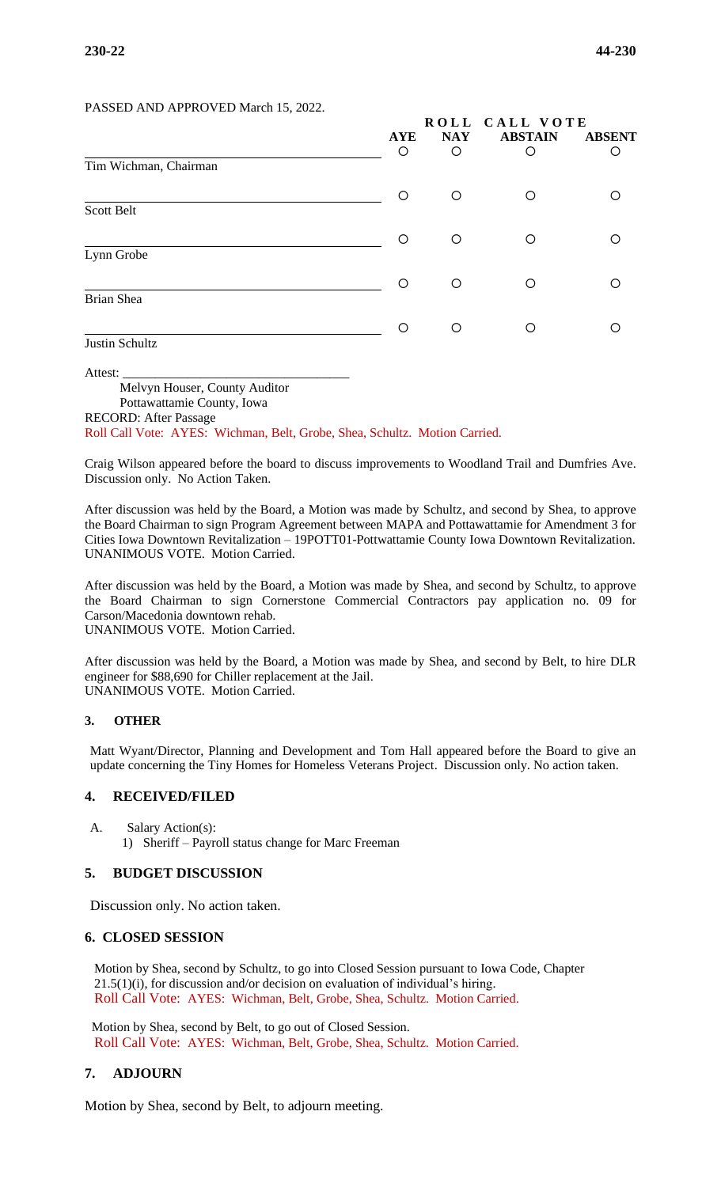#### PASSED AND APPROVED March 15, 2022.

|                       | ROLL CALL VOTE |            |                |               |
|-----------------------|----------------|------------|----------------|---------------|
|                       | <b>AYE</b>     | <b>NAY</b> | <b>ABSTAIN</b> | <b>ABSENT</b> |
| Tim Wichman, Chairman | $\circ$        | O          | $\circ$        | O             |
|                       | O              | O          | O              |               |
| Scott Belt            |                |            |                |               |
|                       | O              | O          | $\circ$        |               |
| Lynn Grobe            |                |            |                |               |
|                       | ∩              | O          | $\circ$        | ◯             |
| Brian Shea            |                |            |                |               |
|                       | ◯              | O          | $\circ$        |               |
| Justin Schultz        |                |            |                |               |

Attest:

Melvyn Houser, County Auditor

Pottawattamie County, Iowa RECORD: After Passage

Roll Call Vote: AYES: Wichman, Belt, Grobe, Shea, Schultz. Motion Carried.

Craig Wilson appeared before the board to discuss improvements to Woodland Trail and Dumfries Ave. Discussion only. No Action Taken.

After discussion was held by the Board, a Motion was made by Schultz, and second by Shea, to approve the Board Chairman to sign Program Agreement between MAPA and Pottawattamie for Amendment 3 for Cities Iowa Downtown Revitalization – 19POTT01-Pottwattamie County Iowa Downtown Revitalization. UNANIMOUS VOTE. Motion Carried.

After discussion was held by the Board, a Motion was made by Shea, and second by Schultz, to approve the Board Chairman to sign Cornerstone Commercial Contractors pay application no. 09 for Carson/Macedonia downtown rehab. UNANIMOUS VOTE. Motion Carried.

After discussion was held by the Board, a Motion was made by Shea, and second by Belt, to hire DLR engineer for \$88,690 for Chiller replacement at the Jail. UNANIMOUS VOTE. Motion Carried.

#### **3. OTHER**

Matt Wyant/Director, Planning and Development and Tom Hall appeared before the Board to give an update concerning the Tiny Homes for Homeless Veterans Project. Discussion only. No action taken.

## **4. RECEIVED/FILED**

A. Salary Action(s): 1) Sheriff – Payroll status change for Marc Freeman

#### **5. BUDGET DISCUSSION**

Discussion only. No action taken.

#### **6. CLOSED SESSION**

Motion by Shea, second by Schultz, to go into Closed Session pursuant to Iowa Code, Chapter 21.5(1)(i), for discussion and/or decision on evaluation of individual's hiring. Roll Call Vote: AYES: Wichman, Belt, Grobe, Shea, Schultz. Motion Carried.

Motion by Shea, second by Belt, to go out of Closed Session. Roll Call Vote: AYES: Wichman, Belt, Grobe, Shea, Schultz. Motion Carried.

#### **7. ADJOURN**

Motion by Shea, second by Belt, to adjourn meeting.